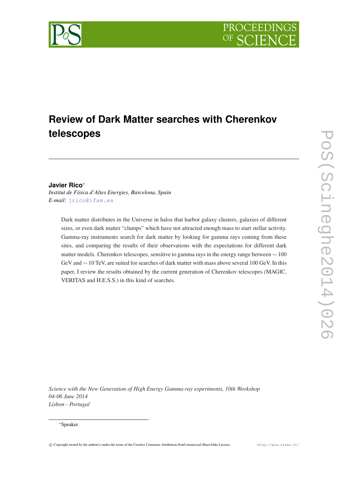

# **Review of Dark Matter searches with Cherenkov telescopes**

# **Javier Rico**<sup>∗</sup>

*Institut de Física d'Altes Energies, Barcelona, Spain E-mail:* [jrico@ifae.es](mailto:jrico@ifae.es)

> Dark matter distributes in the Universe in halos that harbor galaxy clusters, galaxies of different sizes, or even dark matter "clumps" which have not attracted enough mass to start stellar activity. Gamma-ray instruments search for dark matter by looking for gamma rays coming from these sites, and comparing the results of their observations with the expectations for different dark matter models. Cherenkov telescopes, sensitive to gamma rays in the energy range between  $\sim$  100 GeV and ∼ 10 TeV, are suited for searches of dark matter with mass above several 100 GeV. In this paper, I review the results obtained by the current generation of Cherenkov telescopes (MAGIC, VERITAS and H.E.S.S.) in this kind of searches.

*Science with the New Generation of High Energy Gamma-ray experiments, 10th Workshop 04-06 June 2014 Lisbon - Portugal*

#### <sup>∗</sup>Speaker.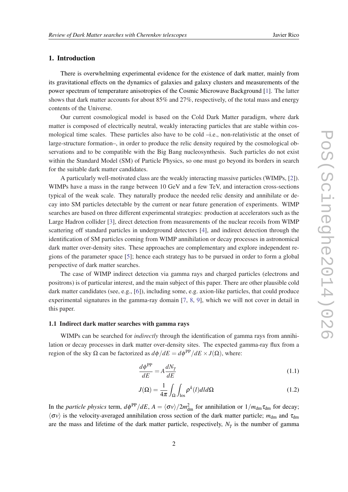# 1. Introduction

There is overwhelming experimental evidence for the existence of dark matter, mainly from its gravitational effects on the dynamics of galaxies and galaxy clusters and measurements of the power spectrum of temperature anisotropies of the Cosmic Microwave Background [\[1\]](#page-8-0). The latter shows that dark matter accounts for about 85% and 27%, respectively, of the total mass and energy contents of the Universe.

Our current cosmological model is based on the Cold Dark Matter paradigm, where dark matter is composed of electrically neutral, weakly interacting particles that are stable within cosmological time scales. These particles also have to be cold –i.e., non-relativistic at the onset of large-structure formation–, in order to produce the relic density required by the cosmological observations and to be compatible with the Big Bang nucleosynthesis. Such particles do not exist within the Standard Model (SM) of Particle Physics, so one must go beyond its borders in search for the suitable dark matter candidates.

A particularly well-motivated class are the weakly interacting massive particles (WIMPs, [\[2\]](#page-8-0)). WIMPs have a mass in the range between 10 GeV and a few TeV, and interaction cross-sections typical of the weak scale. They naturally produce the needed relic density and annihilate or decay into SM particles detectable by the current or near future generation of experiments. WIMP searches are based on three different experimental strategies: production at accelerators such as the Large Hadron collider [\[3\]](#page-8-0), direct detection from measurements of the nuclear recoils from WIMP scattering off standard particles in underground detectors [\[4\]](#page-8-0), and indirect detection through the identification of SM particles coming from WIMP annihilation or decay processes in astronomical dark matter over-density sites. These approaches are complementary and explore independent regions of the parameter space [[5](#page-8-0)]; hence each strategy has to be pursued in order to form a global perspective of dark matter searches.

The case of WIMP indirect detection via gamma rays and charged particles (electrons and positrons) is of particular interest, and the main subject of this paper. There are other plausible cold dark matter candidates (see, e.g., [[6](#page-9-0)]), including some, e.g. axion-like particles, that could produce experimental signatures in the gamma-ray domain [\[7,](#page-9-0) [8](#page-9-0), [9\]](#page-9-0), which we will not cover in detail in this paper.

### 1.1 Indirect dark matter searches with gamma rays

WIMPs can be searched for *indirectly* through the identification of gamma rays from annihilation or decay processes in dark matter over-density sites. The expected gamma-ray flux from a region of the sky Ω can be factorized as  $d\phi/dE = d\phi^{\text{PP}}/dE \times J(\Omega)$ , where:

$$
\frac{d\phi^{\rm PP}}{dE} = A \frac{dN_{\gamma}}{dE} \tag{1.1}
$$

$$
J(\Omega) = \frac{1}{4\pi} \int_{\Omega} \int_{\text{los}} \rho^k(l) dl d\Omega \tag{1.2}
$$

In the *particle physics* term,  $d\phi^{\rm PP}/dE$ ,  $A = \langle \sigma v \rangle / 2m_{\rm dm}^2$  for annihilation or  $1/m_{\rm dm} \tau_{\rm dm}$  for decay;  $\langle \sigma v \rangle$  is the velocity-averaged annihilation cross section of the dark matter particle; *m*<sub>dm</sub> and  $\tau_{dm}$ are the mass and lifetime of the dark matter particle, respectively,  $N_{\gamma}$  is the number of gamma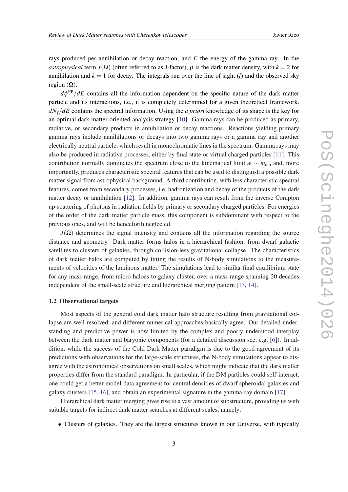rays produced per annihilation or decay reaction, and *E* the energy of the gamma ray. In the *astrophysical* term *J*( $\Omega$ ) (often referred to as *J*-factor),  $\rho$  is the dark matter density, with  $k = 2$  for annihilation and  $k = 1$  for decay. The integrals run over the line of sight (*l*) and the observed sky region  $(Ω)$ .

 $d\phi^{\rm PP}/dE$  contains all the information dependent on the specific nature of the dark matter particle and its interactions, i.e., it is completely determined for a given theoretical framework. *dN*γ/*dE* contains the spectral information. Using the *a priori* knowledge of its shape is the key for an optimal dark matter-oriented analysis strategy [[10\]](#page-9-0). Gamma rays can be produced as primary, radiative, or secondary products in annihilation or decay reactions. Reactions yielding primary gamma rays include annihilations or decays into two gamma rays or a gamma ray and another electrically neutral particle, which result in monochromatic lines in the spectrum. Gamma rays may also be produced in radiative processes, either by final state or virtual charged particles [\[11](#page-9-0)]. This contribution normally dominates the spectrum close to the kinematical limit at  $\sim m_{\text{dm}}$  and, more importantly, produces characteristic spectral features that can be used to distinguish a possible dark matter signal from astrophysical background. A third contribution, with less characteristic spectral features, comes from secondary processes, i.e. hadronization and decay of the products of the dark matter decay or annihilation [\[12](#page-9-0)]. In addition, gamma rays can result from the inverse Compton up-scattering of photons in radiation fields by primary or secondary charged particles. For energies of the order of the dark matter particle mass, this component is subdominant with respect to the previous ones, and will be henceforth neglected.

 $J(\Omega)$  determines the signal intensity and contains all the information regarding the source distance and geometry. Dark matter forms halos in a hierarchical fashion, from dwarf galactic satellites to clusters of galaxies, through collision-less gravitational collapse. The characteristics of dark matter halos are computed by fitting the results of N-body simulations to the measurements of velocities of the luminous matter. The simulations lead to similar final equilibrium state for any mass range, from micro-haloes to galaxy cluster, over a mass range spanning 20 decades independent of the small-scale structure and hierarchical merging pattern [\[13](#page-9-0), [14](#page-9-0)].

#### 1.2 Observational targets

Most aspects of the general cold dark matter halo structure resulting from gravitational collapse are well resolved, and different numerical approaches basically agree. Our detailed understanding and predictive power is now limited by the complex and poorly understood interplay between the dark matter and baryonic components (for a detailed discussion see, e.g. [[6](#page-9-0)]). In addition, while the success of the Cold Dark Matter paradigm is due to the good agreement of its predictions with observations for the large-scale structures, the N-body simulations appear to disagree with the astronomical observations on small scales, which might indicate that the dark matter properties differ from the standard paradigm. In particular, if the DM particles could self-interact, one could get a better model-data agreement for central densities of dwarf spheroidal galaxies and galaxy clusters [[15,](#page-9-0) [16](#page-9-0)], and obtain an experimental signature in the gamma-ray domain [[17\]](#page-9-0).

Hierarchical dark matter merging gives rise to a vast amount of substructure, providing us with suitable targets for indirect dark matter searches at different scales, namely:

• Clusters of galaxies. They are the largest structures known in our Universe, with typically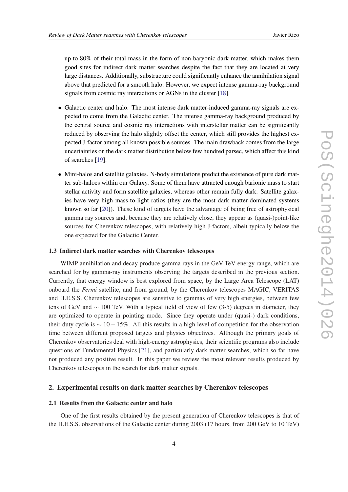up to 80% of their total mass in the form of non-baryonic dark matter, which makes them good sites for indirect dark matter searches despite the fact that they are located at very large distances. Additionally, substructure could significantly enhance the annihilation signal above that predicted for a smooth halo. However, we expect intense gamma-ray background signals from cosmic ray interactions or AGNs in the cluster [\[18\]](#page-9-0).

- Galactic center and halo. The most intense dark matter-induced gamma-ray signals are expected to come from the Galactic center. The intense gamma-ray background produced by the central source and cosmic ray interactions with interstellar matter can be significantly reduced by observing the halo slightly offset the center, which still provides the highest expected J-factor among all known possible sources. The main drawback comes from the large uncertainties on the dark matter distribution below few hundred parsec, which affect this kind of searches [[19](#page-9-0)].
- Mini-halos and satellite galaxies. N-body simulations predict the existence of pure dark matter sub-haloes within our Galaxy. Some of them have attracted enough barionic mass to start stellar activity and form satellite galaxies, whereas other remain fully dark. Satellite galaxies have very high mass-to-light ratios (they are the most dark matter-dominated systems known so far [[20](#page-9-0)]). These kind of targets have the advantage of being free of astrophysical gamma ray sources and, because they are relatively close, they appear as (quasi-)point-like sources for Cherenkov telescopes, with relatively high J-factors, albeit typically below the one expected for the Galactic Center.

#### 1.3 Indirect dark matter searches with Cherenkov telescopes

WIMP annihilation and decay produce gamma rays in the GeV-TeV energy range, which are searched for by gamma-ray instruments observing the targets described in the previous section. Currently, that energy window is best explored from space, by the Large Area Telescope (LAT) onboard the *Fermi* satellite, and from ground, by the Cherenkov telescopes MAGIC, VERITAS and H.E.S.S. Cherenkov telescopes are sensitive to gammas of very high energies, between few tens of GeV and  $\sim 100$  TeV. With a typical field of view of few (3-5) degrees in diameter, they are optimized to operate in pointing mode. Since they operate under (quasi-) dark conditions, their duty cycle is  $\sim 10-15\%$ . All this results in a high level of competition for the observation time between different proposed targets and physics objectives. Although the primary goals of Cherenkov observatories deal with high-energy astrophysics, their scientific programs also include questions of Fundamental Physics [\[21](#page-9-0)], and particularly dark matter searches, which so far have not produced any positive result. In this paper we review the most relevant results produced by Cherenkov telescopes in the search for dark matter signals.

# 2. Experimental results on dark matter searches by Cherenkov telescopes

#### 2.1 Results from the Galactic center and halo

One of the first results obtained by the present generation of Cherenkov telescopes is that of the H.E.S.S. observations of the Galactic center during 2003 (17 hours, from 200 GeV to 10 TeV)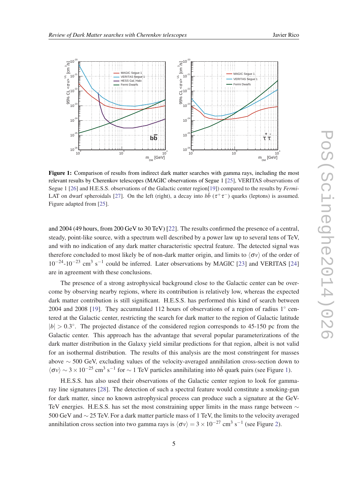<span id="page-4-0"></span>

Figure 1: Comparison of results from indirect dark matter searches with gamma rays, including the most relevant results by Cherenkov telescopes (MAGIC observations of Segue 1 [[25\]](#page-9-0), VERITAS observations of Segue 1 [[26\]](#page-10-0) and H.E.S.S. observations of the Galactic center region[[19\]](#page-9-0)) compared to the results by *Fermi*-LAT on dwarf spheroidals [[27\]](#page-10-0). On the left (right), a decay into  $b\bar{b}$  ( $\tau^+\tau^-$ ) quarks (leptons) is assumed. Figure adapted from [\[25](#page-9-0)].

and 2004 (49 hours, from 200 GeV to 30 TeV) [\[22](#page-9-0)]. The results confirmed the presence of a central, steady, point-like source, with a spectrum well described by a power law up to several tens of TeV, and with no indication of any dark matter characteristic spectral feature. The detected signal was therefore concluded to most likely be of non-dark matter origin, and limits to  $\langle \sigma v \rangle$  of the order of  $10^{-24}$ - $10^{-23}$  cm<sup>3</sup> s<sup>-1</sup> could be inferred. Later observations by MAGIC [[23\]](#page-9-0) and VERITAS [\[24](#page-9-0)] are in agreement with these conclusions.

The presence of a strong astrophysical background close to the Galactic center can be overcome by observing nearby regions, where its contribution is relatively low, whereas the expected dark matter contribution is still significant. H.E.S.S. has performed this kind of search between 2004 and 2008 [\[19](#page-9-0)]. They accumulated 112 hours of observations of a region of radius 1° centered at the Galactic center, restricting the search for dark matter to the region of Galactic latitude  $|b| > 0.3^\circ$ . The projected distance of the considered region corresponds to 45-150 pc from the Galactic center. This approach has the advantage that several popular parameterizations of the dark matter distribution in the Galaxy yield similar predictions for that region, albeit is not valid for an isothermal distribution. The results of this analysis are the most constringent for masses above ∼ 500 GeV, excluding values of the velocity-averaged annihilation cross-section down to  $\langle \sigma v \rangle \sim 3 \times 10^{-25}$  cm<sup>3</sup> s<sup>-1</sup> for  $\sim 1$  TeV particles annihilating into *bb* quark pairs (see Figure 1).

H.E.S.S. has also used their observations of the Galactic center region to look for gammaray line signatures [\[28\]](#page-10-0). The detection of such a spectral feature would constitute a smoking-gun for dark matter, since no known astrophysical process can produce such a signature at the GeV-TeV energies. H.E.S.S. has set the most constraining upper limits in the mass range between  $\sim$ 500 GeV and ∼ 25 TeV. For a dark matter particle mass of 1 TeV, the limits to the velocity averaged annihilation cross section into two gamma rays is  $\langle \sigma v \rangle = 3 \times 10^{-27}$  $\langle \sigma v \rangle = 3 \times 10^{-27}$  $\langle \sigma v \rangle = 3 \times 10^{-27}$  cm<sup>3</sup> s<sup>-1</sup> (see Figure 2).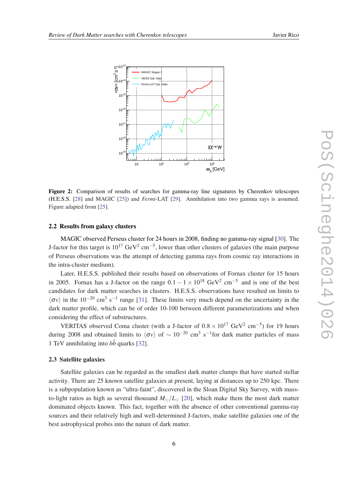<span id="page-5-0"></span>

Figure 2: Comparison of results of searches for gamma-ray line signatures by Cherenkov telescopes (H.E.S.S. [\[28](#page-10-0)] and MAGIC [[25\]](#page-9-0)) and *Fermi*-LAT [\[29](#page-10-0)]. Annihilation into two gamma rays is assumed. Figure adapted from [\[25](#page-9-0)].

#### 2.2 Results from galaxy clusters

MAGIC observed Perseus cluster for 24 hours in 2008, finding no gamma-ray signal [\[30](#page-10-0)]. The J-factor for this target is  $10^{17}$  GeV<sup>2</sup> cm<sup>-5</sup>, lower than other clusters of galaxies (the main purpose of Perseus observations was the attempt of detecting gamma rays from cosmic ray interactions in the intra-cluster medium).

Later, H.E.S.S. published their results based on observations of Fornax cluster for 15 hours in 2005. Fornax has a J-factor on the range  $0.1 - 1 \times 10^{18}$  GeV<sup>2</sup> cm<sup>-5</sup> and is one of the best candidates for dark matter searches in clusters. H.E.S.S. observations have resulted on limits to  $\langle \sigma v \rangle$  in the 10<sup>-20</sup> cm<sup>3</sup> s<sup>-1</sup> range [[31\]](#page-10-0). These limits very much depend on the uncertainty in the dark matter profile, which can be of order 10-100 between different parameterizations and when considering the effect of substructures.

VERITAS observed Coma cluster (with a J-factor of  $0.8 \times 10^{17}$  GeV<sup>2</sup> cm<sup>-5</sup>) for 19 hours during 2008 and obtained limits to  $\langle \sigma v \rangle$  of  $\sim 10^{-20}$  cm<sup>3</sup> s<sup>-1</sup>for dark matter particles of mass 1 TeV annihilating into  $b\bar{b}$  quarks [\[32](#page-10-0)].

# 2.3 Satellite galaxies

Satellite galaxies can be regarded as the smallest dark matter clumps that have started stellar activity. There are 25 known satellite galaxies at present, laying at distances up to 250 kpc. There is a subpopulation known as "ultra-faint", discovered in the Sloan Digital Sky Survey, with massto-light ratios as high as several thousand  $M_{\odot}/L_{\odot}$  [\[20](#page-9-0)], which make them the most dark matter dominated objects known. This fact, together with the absence of other conventional gamma-ray sources and their relatively high and well-determined J-factors, make satellite galaxies one of the best astrophysical probes into the nature of dark matter.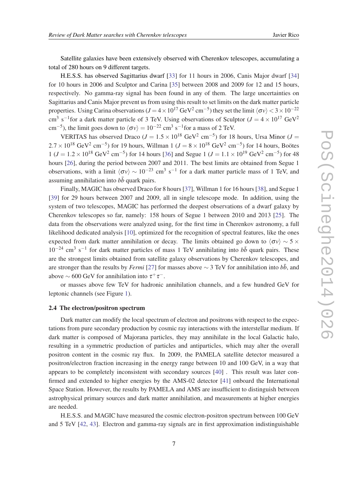Satellite galaxies have been extensively observed with Cherenkov telescopes, accumulating a total of 280 hours on 9 different targets.

H.E.S.S. has observed Sagittarius dwarf [[33\]](#page-10-0) for 11 hours in 2006, Canis Major dwarf [\[34](#page-10-0)] for 10 hours in 2006 and Sculptor and Carina [[35](#page-10-0)] between 2008 and 2009 for 12 and 15 hours, respectively. No gamma-ray signal has been found in any of them. The large uncertainties on Sagittarius and Canis Major prevent us from using this result to set limits on the dark matter particle properties. Using Carina observations ( $J$  = 4  $\times$   $10^{17}$  GeV<sup>2</sup> cm<sup>−5</sup>) they set the limit  $\langle \sigma v \rangle$  < 3  $\times$   $10^{-22}$ cm<sup>3</sup> s<sup>-1</sup> for a dark matter particle of 3 TeV. Using observations of Sculptor ( $J = 4 \times 10^{17}$  GeV<sup>2</sup> cm<sup>-5</sup>), the limit goes down to  $\langle \sigma v \rangle = 10^{-22}$  cm<sup>3</sup> s<sup>-1</sup> for a mass of 2 TeV.

VERITAS has observed Draco ( $J = 1.5 \times 10^{18}$  GeV<sup>2</sup> cm<sup>-5</sup>) for 18 hours, Ursa Minor ( $J =$ 2.7 × 10<sup>18</sup> GeV<sup>2</sup> cm<sup>−5</sup>) for 19 hours, Willman 1 ( $J = 8 \times 10^{18}$  GeV<sup>2</sup> cm<sup>−5</sup>) for 14 hours, Boötes  $1 (J = 1.2 \times 10^{18} \text{ GeV}^2 \text{ cm}^{-5})$  for 14 hours [[36\]](#page-10-0) and Segue 1 ( $J = 1.1 \times 10^{19} \text{ GeV}^2 \text{ cm}^{-5}$ ) for 48 hours [\[26](#page-10-0)], during the period between 2007 and 2011. The best limits are obtained from Segue 1 observations, with a limit  $\langle \sigma v \rangle \sim 10^{-23}$  cm<sup>3</sup> s<sup>-1</sup> for a dark matter particle mass of 1 TeV, and assuming annihilation into  $b\bar{b}$  quark pairs.

Finally, MAGIC has observed Draco for 8 hours [[37\]](#page-10-0), Willman 1 for 16 hours [[38](#page-10-0)], and Segue 1 [[39\]](#page-10-0) for 29 hours between 2007 and 2009, all in single telescope mode. In addition, using the system of two telescopes, MAGIC has performed the deepest observations of a dwarf galaxy by Cherenkov telescopes so far, namely: 158 hours of Segue 1 between 2010 and 2013 [\[25](#page-9-0)]. The data from the observations were analyzed using, for the first time in Cherenkov astronomy, a full likelihood dedicated analysis [[10\]](#page-9-0), optimized for the recognition of spectral features, like the ones expected from dark matter annihilation or decay. The limits obtained go down to  $\langle \sigma v \rangle \sim 5 \times$  $10^{-24}$  cm<sup>3</sup> s<sup>-1</sup> for dark matter particles of mass 1 TeV annihilating into  $b\bar{b}$  quark pairs. These are the strongest limits obtained from satellite galaxy observations by Cherenkov telescopes, and are stronger than the results by *Fermi* [\[27](#page-10-0)] for masses above ∼ 3 TeV for annihilation into *bb*, and above  $\sim$  600 GeV for annihilation into  $\tau^+\tau^-$ .

or masses above few TeV for hadronic annihilation channels, and a few hundred GeV for leptonic channels (see Figure [1](#page-4-0)).

#### 2.4 The electron/positron spectrum

Dark matter can modify the local spectrum of electron and positrons with respect to the expectations from pure secondary production by cosmic ray interactions with the interstellar medium. If dark matter is composed of Majorana particles, they may annihilate in the local Galactic halo, resulting in a symmetric production of particles and antiparticles, which may alter the overall positron content in the cosmic ray flux. In 2009, the PAMELA satellite detector measured a positron/electron fraction increasing in the energy range between 10 and 100 GeV, in a way that appears to be completely inconsistent with secondary sources [\[40](#page-10-0)] . This result was later confirmed and extended to higher energies by the AMS-02 detector [[41](#page-10-0)] onboard the International Space Station. However, the results by PAMELA and AMS are insufficient to distinguish between astrophysical primary sources and dark matter annihilation, and measurements at higher energies are needed.

H.E.S.S. and MAGIC have measured the cosmic electron-positron spectrum between 100 GeV and 5 TeV [[42,](#page-10-0) [43\]](#page-10-0). Electron and gamma-ray signals are in first approximation indistinguishable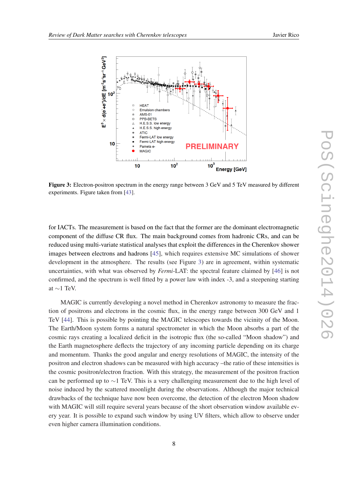



Figure 3: Electron-positron spectrum in the energy range between 3 GeV and 5 TeV measured by different experiments. Figure taken from [\[43](#page-10-0)].

for IACTs. The measurement is based on the fact that the former are the dominant electromagnetic component of the diffuse CR flux. The main background comes from hadronic CRs, and can be reduced using multi-variate statistical analyses that exploit the differences in the Cherenkov shower images between electrons and hadrons [[45\]](#page-11-0), which requires extensive MC simulations of shower development in the atmosphere. The results (see Figure 3) are in agreement, within systematic uncertainties, with what was observed by *Fermi*-LAT: the spectral feature claimed by [\[46](#page-11-0)] is not confirmed, and the spectrum is well fitted by a power law with index -3, and a steepening starting at ∼1 TeV.

MAGIC is currently developing a novel method in Cherenkov astronomy to measure the fraction of positrons and electrons in the cosmic flux, in the energy range between 300 GeV and 1 TeV [\[44\]](#page-11-0). This is possible by pointing the MAGIC telescopes towards the vicinity of the Moon. The Earth/Moon system forms a natural spectrometer in which the Moon absorbs a part of the cosmic rays creating a localized deficit in the isotropic flux (the so-called "Moon shadow") and the Earth magnetosphere deflects the trajectory of any incoming particle depending on its charge and momentum. Thanks the good angular and energy resolutions of MAGIC, the intensity of the positron and electron shadows can be measured with high accuracy –the ratio of these intensities is the cosmic positron/electron fraction. With this strategy, the measurement of the positron fraction can be performed up to ∼1 TeV. This is a very challenging measurement due to the high level of noise induced by the scattered moonlight during the observations. Although the major technical drawbacks of the technique have now been overcome, the detection of the electron Moon shadow with MAGIC will still require several years because of the short observation window available every year. It is possible to expand such window by using UV filters, which allow to observe under even higher camera illumination conditions.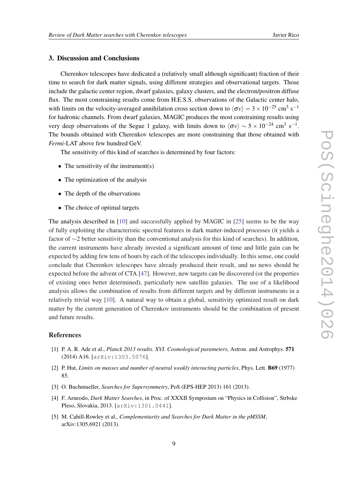# <span id="page-8-0"></span>3. Discussion and Conclusions

Cherenkov telescopes have dedicated a (relatively small although significant) fraction of their time to search for dark matter signals, using different strategies and observational targets. Those include the galactic center region, dwarf galaxies, galaxy clusters, and the electron/positron diffuse flux. The most constraining results come from H.E.S.S. observations of the Galactic center halo, with limits on the velocity-averaged annihilation cross section down to  $\langle \sigma v \rangle = 3 \times 10^{-25}$  cm<sup>3</sup> s<sup>-1</sup> for hadronic channels. From dwarf galaxies, MAGIC produces the most constraining results using very deep observations of the Segue 1 galaxy, with limits down to  $\langle \sigma v \rangle \sim 5 \times 10^{-24}$  cm<sup>3</sup> s<sup>-1</sup>. The bounds obtained with Cherenkov telescopes are more constraining that those obtained with *Fermi*-LAT above few hundred GeV.

The sensitivity of this kind of searches is determined by four factors:

- The sensitivity of the instrument(s)
- The optimization of the analysis
- The depth of the observations
- The choice of optimal targets

The analysis described in [\[10](#page-9-0)] and successfully applied by MAGIC in [[25\]](#page-9-0) seems to be the way of fully exploiting the characteristic spectral features in dark matter-induced processes (it yields a factor of ∼2 better sensitivity than the conventional analysis for this kind of searches). In addition, the current instruments have already invested a significant amount of time and little gain can be expected by adding few tens of hours by each of the telescopes individually. In this sense, one could conclude that Cherenkov telescopes have already produced their result, and no news should be expected before the advent of CTA [[47\]](#page-11-0). However, new targets can be discovered (or the properties of existing ones better determined), particularly new satellite galaxies. The use of a likelihood analysis allows the combination of results from different targets and by different instruments in a relatively trivial way [[10\]](#page-9-0). A natural way to obtain a global, sensitivity optimized result on dark matter by the current generation of Cherenkov instruments should be the combination of present and future results.

# References

- [1] P. A. R. Ade et al., *Planck 2013 results. XVI. Cosmological parameters*, Astron. and Astrophys. 571 (2014) A16. [arXiv:1303.5076].
- [2] P. Hut, *Limits on masses and number of neutral weakly interacting particles*, Phys. Lett. B69 (1977) 85.
- [3] O. Buchmueller, *Searches for Supersymmetry*, PoS (EPS-HEP 2013) 161 (2013).
- [4] F. Arneodo, *Dark Matter Searches*, in Proc. of XXXII Symposium on "Physics in Collision", Strbske Pleso, Slovakia, 2013. [arXiv:1301.0441].
- [5] M. Cahill-Rowley et al., *Complementarity and Searches for Dark Matter in the pMSSM*, arXiv:1305.6921 (2013).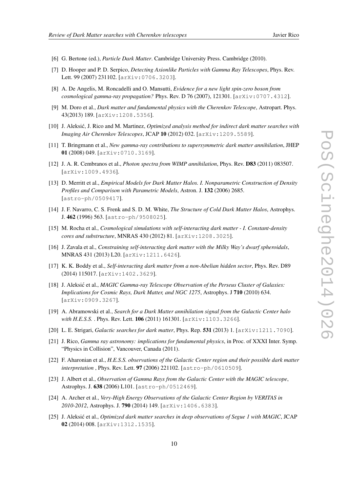- <span id="page-9-0"></span>[6] G. Bertone (ed.), *Particle Dark Matter*. Cambridge University Press. Cambridge (2010).
- [7] D. Hooper and P. D. Serpico, *Detecting Axionlike Particles with Gamma Ray Telescopes*, Phys. Rev. Lett. 99 (2007) 231102. [arXiv:0706.3203].
- [8] A. De Angelis, M. Roncadelli and O. Mansutti, *Evidence for a new light spin-zero boson from cosmological gamma-ray propagation?* Phys. Rev. D 76 (2007), 121301. [arXiv:0707.4312].
- [9] M. Doro et al., *Dark matter and fundamental physics with the Cherenkov Telescope*, Astropart. Phys. 43(2013) 189. [arXiv:1208.5356].
- [10] J. Aleksić, J. Rico and M. Martinez, *Optimized analysis method for indirect dark matter searches with Imaging Air Cherenkov Telescopes*, JCAP 10 (2012) 032. [arXiv:1209.5589].
- [11] T. Bringmann et al., *New gamma-ray contributions to supersymmetric dark matter annihilation*, JHEP 01 (2008) 049. [arXiv:0710.3169].
- [12] J. A. R. Cembranos et al., *Photon spectra from WIMP annihilation*, Phys. Rev. D83 (2011) 083507. [arXiv:1009.4936].
- [13] D. Merritt et al., *Empirical Models for Dark Matter Halos. I. Nonparametric Construction of Density Profiles and Comparison with Parametric Models*, Astron. J. 132 (2006) 2685. [astro-ph/0509417].
- [14] J. F. Navarro, C. S. Frenk and S. D. M. White, *The Structure of Cold Dark Matter Halos*, Astrophys. J. 462 (1996) 563. [astro-ph/9508025].
- [15] M. Rocha et al., *Cosmological simulations with self-interacting dark matter I. Constant-density cores and substructure*, MNRAS 430 (2012) 81. [arXiv:1208.3025].
- [16] J. Zavala et al., *Constraining self-interacting dark matter with the Milky Way's dwarf spheroidals*, MNRAS 431 (2013) L20. [arXiv:1211.6426].
- [17] K. K. Boddy et al., *Self-interacting dark matter from a non-Abelian hidden sector*, Phys. Rev. D89 (2014) 115017. [arXiv:1402.3629].
- [18] J. Aleksić et al., *MAGIC Gamma-ray Telescope Observation of the Perseus Cluster of Galaxies: Implications for Cosmic Rays, Dark Matter, and NGC 1275*, Astrophys. J 710 (2010) 634. [arXiv:0909.3267].
- [19] A. Abramowski et al., *Search for a Dark Matter annihilation signal from the Galactic Center halo with H.E.S.S.* . Phys. Rev. Lett. 106 (2011) 161301. [arXiv:1103.3266].
- [20] L. E. Strigari, *Galactic searches for dark matter*, Phys. Rep. 531 (2013) 1. [arXiv:1211.7090].
- [21] J. Rico, *Gamma ray astronomy: implications for fundamental physics*, in Proc. of XXXI Inter. Symp. "Physics in Collision", Vancouver, Canada (2011).
- [22] F. Aharonian et al., *H.E.S.S. observations of the Galactic Center region and their possible dark matter interpretation* , Phys. Rev. Lett. 97 (2006) 221102. [astro-ph/0610509].
- [23] J. Albert et al., *Observation of Gamma Rays from the Galactic Center with the MAGIC telescope*, Astrophys. J. 638 (2006) L101. [astro-ph/0512469].
- [24] A. Archer et al., *Very-High Energy Observations of the Galactic Center Region by VERITAS in 2010-2012*, Astrophys. J. 790 (2014) 149. [arXiv:1406.6383].
- [25] J. Aleksic et al., *Optimized dark matter searches in deep observations of Segue 1 with MAGIC*, JCAP 02 (2014) 008. [arXiv:1312.1535].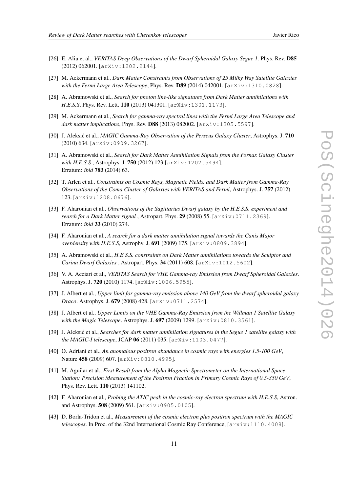- 
- <span id="page-10-0"></span>[26] E. Aliu et al., *VERITAS Deep Observations of the Dwarf Spheroidal Galaxy Segue 1*. Phys. Rev. D85 (2012) 062001. [arXiv:1202.2144].
- [27] M. Ackermann et al., *Dark Matter Constraints from Observations of 25 Milky Way Satellite Galaxies with the Fermi Large Area Telescope*, Phys. Rev. D89 (2014) 042001. [arXiv:1310.0828].
- [28] A. Abramowski et al., *Search for photon line-like signatures from Dark Matter annihilations with H.E.S.S*, Phys. Rev. Lett. 110 (2013) 041301. [arXiv:1301.1173].
- [29] M. Ackermann et al., *Search for gamma-ray spectral lines with the Fermi Large Area Telescope and dark matter implications*, Phys. Rev. D88 (2013) 082002. [arXiv:1305.5597].
- [30] J. Aleksić et al., *MAGIC Gamma-Ray Observation of the Perseus Galaxy Cluster*, Astrophys. J. **710** (2010) 634. [arXiv:0909.3267].
- [31] A. Abramowski et al., *Search for Dark Matter Annihilation Signals from the Fornax Galaxy Cluster with H.E.S.S* , Astrophys. J. 750 (2012) 123 [arXiv:1202.5494]. Erratum: *ibid* 783 (2014) 63.
- [32] T. Arlen et al., *Constraints on Cosmic Rays, Magnetic Fields, and Dark Matter from Gamma-Ray Observations of the Coma Cluster of Galaxies with VERITAS and Fermi*, Astrophys. J. 757 (2012) 123. [arXiv:1208.0676].
- [33] F. Aharonian et al., *Observations of the Sagittarius Dwarf galaxy by the H.E.S.S. experiment and search for a Dark Matter signal* , Astropart. Phys. 29 (2008) 55. [arXiv:0711.2369]. Erratum: *ibid* 33 (2010) 274.
- [34] F. Aharonian et al., *A search for a dark matter annihilation signal towards the Canis Major overdensity with H.E.S.S*, Astrophy. J. 691 (2009) 175. [arXiv:0809.3894].
- [35] A. Abramowski et al., *H.E.S.S. constraints on Dark Matter annihilations towards the Sculptor and Carina Dwarf Galaxies* , Astropart. Phys. 34 (2011) 608. [arXiv:1012.5602].
- [36] V. A. Acciari et al., *VERITAS Search for VHE Gamma-ray Emission from Dwarf Spheroidal Galaxies*. Astrophys. J. 720 (2010) 1174. [arXiv:1006.5955].
- [37] J. Albert et al., *Upper limit for gamma-ray emission above 140 GeV from the dwarf spheroidal galaxy Draco*. Astrophys. J. 679 (2008) 428. [arXiv:0711.2574].
- [38] J. Albert et al., *Upper Limits on the VHE Gamma-Ray Emission from the Willman 1 Satellite Galaxy with the Magic Telescope*. Astrophys. J. 697 (2009) 1299. [arXiv:0810.3561].
- [39] J. Aleksic et al., *Searches for dark matter annihilation signatures in the Segue 1 satellite galaxy with the MAGIC-I telescope*, JCAP 06 (2011) 035. [arXiv:1103.0477].
- [40] O. Adriani et al., *An anomalous positron abundance in cosmic rays with energies 1.5-100 GeV*, Nature 458 (2009) 607. [arXiv:0810.4995].
- [41] M. Aguilar et al., *First Result from the Alpha Magnetic Spectrometer on the International Space Station: Precision Measurement of the Positron Fraction in Primary Cosmic Rays of 0.5-350 GeV*, Phys. Rev. Lett. 110 (2013) 141102.
- [42] F. Aharonian et al., *Probing the ATIC peak in the cosmic-ray electron spectrum with H.E.S.S*, Astron. and Astrophys. 508 (2009) 561. [arXiv:0905.0105].
- [43] D. Borla-Tridon et al., *Measurement of the cosmic electron plus positron spectrum with the MAGIC telescopes*. In Proc. of the 32nd International Cosmic Ray Conference, [arxiv:1110.4008].